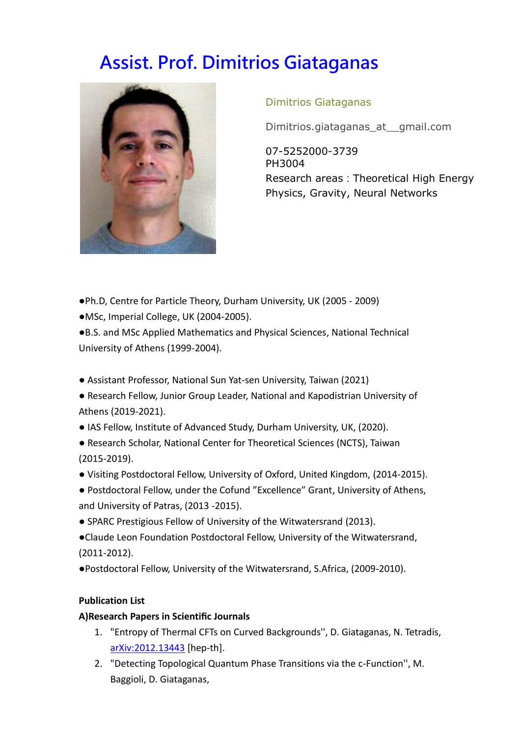# **Assist. Prof. Dimitrios Giataganas**



## Dimitrios Giataganas

Dimitrios.giataganas\_at\_\_gmail.com

07-5252000-3739 PH3004 Research areas: Theoretical High Energy Physics, Gravity, Neural Networks

- ●Ph.D, Centre for Particle Theory, Durham University, UK (2005 2009)
- ●MSc, Imperial College, UK (2004-2005).

●B.S. and MSc Applied Mathematics and Physical Sciences, National Technical University of Athens (1999-2004).

- Assistant Professor, National Sun Yat-sen University, Taiwan (2021)
- Research Fellow, Junior Group Leader, National and Kapodistrian University of Athens (2019-2021).
- IAS Fellow, Institute of Advanced Study, Durham University, UK, (2020).
- Research Scholar, National Center for Theoretical Sciences (NCTS), Taiwan (2015-2019).
- Visiting Postdoctoral Fellow, University of Oxford, United Kingdom, (2014-2015).
- Postdoctoral Fellow, under the Cofund "Excellence" Grant, University of Athens, and University of Patras, (2013 -2015).
- SPARC Prestigious Fellow of University of the Witwatersrand (2013).
- ●Claude Leon Foundation Postdoctoral Fellow, University of the Witwatersrand, (2011-2012).
- ●Postdoctoral Fellow, University of the Witwatersrand, S.Africa, (2009-2010).

## **Publication List**

## **A)Research Papers in Scientific Journals**

- 1. "Entropy of Thermal CFTs on Curved Backgrounds'', D. Giataganas, N. Tetradis, [arXiv:2012.13443](https://arxiv.org/abs/2012.13443) [hep-th].
- 2. "Detecting Topological Quantum Phase Transitions via the c-Function'', M. Baggioli, D. Giataganas,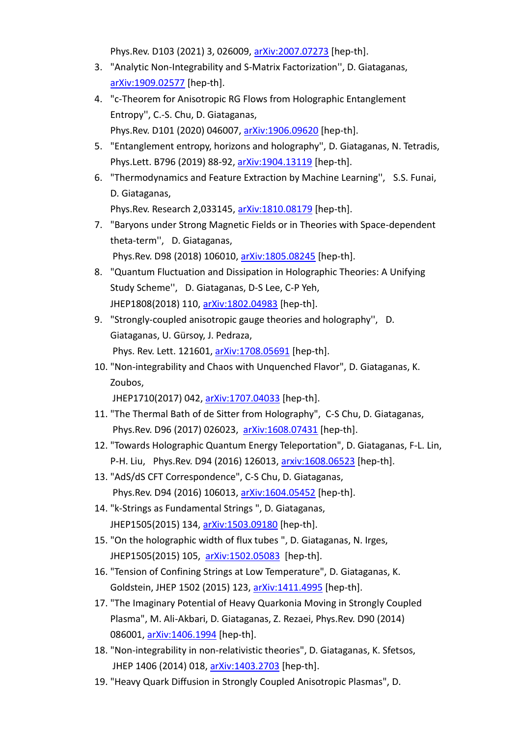Phys.Rev. D103 (2021) 3, 026009, [arXiv:2007.07273](https://arxiv.org/abs/2007.07273) [hep-th].

- 3. "Analytic Non-Integrability and S-Matrix Factorization'', D. Giataganas, [arXiv:1909.02577](https://arxiv.org/abs/1909.02577) [hep-th].
- 4. "c-Theorem for Anisotropic RG Flows from Holographic Entanglement Entropy'', C.-S. Chu, D. Giataganas, Phys.Rev. D101 (2020) 046007, [arXiv:1906.09620](https://arxiv.org/abs/1906.09620) [hep-th].
- 5. "Entanglement entropy, horizons and holography'', D. Giataganas, N. Tetradis, Phys.Lett. B796 (2019) 88-92, [arXiv:1904.13119](https://arxiv.org/abs/1904.13119) [hep-th].
- 6. "Thermodynamics and Feature Extraction by Machine Learning'', S.S. Funai, D. Giataganas,

Phys.Rev. Research 2,033145, [arXiv:1810.08179](https://arxiv.org/abs/1810.08179) [hep-th]. 7. "Baryons under Strong Magnetic Fields or in Theories with Space-dependent

- theta-term'', D. Giataganas, Phys.Rev. D98 (2018) 106010, [arXiv:1805.08245](https://arxiv.org/abs/1805.08245) [hep-th].
- 8. "Quantum Fluctuation and Dissipation in Holographic Theories: A Unifying Study Scheme'', D. Giataganas, D-S Lee, C-P Yeh, JHEP1808(2018) 110, [arXiv:1802.04983](https://arxiv.org/abs/1802.04983) [hep-th].
- 9. "Strongly-coupled anisotropic gauge theories and holography'', D. Giataganas, U. Gürsoy, J. Pedraza, Phys. Rev. Lett. 121601, [arXiv:1708.05691](https://arxiv.org/abs/1708.05691) [hep-th].
- 10. "Non-integrability and Chaos with Unquenched Flavor", D. Giataganas, K. Zoubos,

JHEP1710(2017) 042, [arXiv:1707.04033](http://arxiv.org/abs/1707.04033) [hep-th].

- 11. "The Thermal Bath of de Sitter from Holography", C-S Chu, D. Giataganas, Phys.Rev. D96 (2017) 026023, [arXiv:1608.07431](http://arxiv.org/abs/1608.07431) [hep-th].
- 12. "Towards Holographic Quantum Energy Teleportation", D. Giataganas, F-L. Lin, P-H. Liu, Phys.Rev. D94 (2016) 126013, [arxiv:1608.06523](http://arxiv.org/abs/1608.06523) [hep-th].
- 13. "AdS/dS CFT Correspondence", C-S Chu, D. Giataganas, Phys.Rev. D94 (2016) 106013, [arXiv:1604.05452](http://arxiv.org/abs/1604.05452) [hep-th].
- 14. "k-Strings as Fundamental Strings ", D. Giataganas, JHEP1505(2015) 134, [arXiv:1503.09180](http://arxiv.org/abs/1503.09180) [hep-th].
- 15. "On the holographic width of flux tubes ", D. Giataganas, N. Irges, JHEP1505(2015) 105, [arXiv:1502.05083](http://arxiv.org/abs/1502.05083) [hep-th].
- 16. "Tension of Confining Strings at Low Temperature", D. Giataganas, K. Goldstein, JHEP 1502 (2015) 123, [arXiv:1411.4995](http://arxiv.org/abs/arXiv:1411.4995) [hep-th].
- 17. "The Imaginary Potential of Heavy Quarkonia Moving in Strongly Coupled Plasma", M. Ali-Akbari, D. Giataganas, Z. Rezaei, Phys.Rev. D90 (2014) 086001, [arXiv:1406.1994](http://arxiv.org/abs/1406.1994) [hep-th].
- 18. "Non-integrability in non-relativistic theories", D. Giataganas, K. Sfetsos, JHEP 1406 (2014) 018, [arXiv:1403.2703](http://arxiv.org/abs/arXiv:1403.2703) [hep-th].
- 19. "Heavy Quark Diffusion in Strongly Coupled Anisotropic Plasmas", D.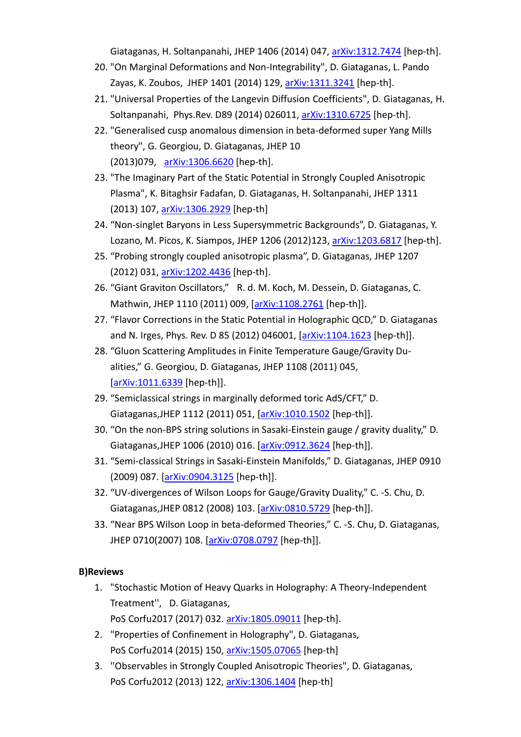Giataganas, H. Soltanpanahi, JHEP 1406 (2014) 047, [arXiv:1312.7474](http://arxiv.org/abs/arXiv:1312.7474) [hep-th].

- 20. "On Marginal Deformations and Non-Integrability", D. Giataganas, L. Pando Zayas, K. Zoubos, JHEP 1401 (2014) 129, [arXiv:1311.3241](http://arxiv.org/abs/1311.3241) [hep-th].
- 21. "Universal Properties of the Langevin Diffusion Coefficients", D. Giataganas, H. Soltanpanahi, Phys.Rev. D89 (2014) 026011, [arXiv:1310.6725](http://arxiv.org/abs/arXiv:1310.6725) [hep-th].
- 22. "Generalised cusp anomalous dimension in beta-deformed super Yang Mills theory", G. Georgiou, D. Giataganas, JHEP 10 (2013)079, [arXiv:1306.6620](http://arxiv.org/abs/arXiv:1306.6620) [hep-th].
- 23. "The Imaginary Part of the Static Potential in Strongly Coupled Anisotropic Plasma", K. Bitaghsir Fadafan, D. Giataganas, H. Soltanpanahi, JHEP 1311 (2013) 107, [arXiv:1306.2929](http://arxiv.org/abs/arXiv:1306.2929) [hep-th]
- 24. "Non-singlet Baryons in Less Supersymmetric Backgrounds", D. Giataganas, Y. Lozano, M. Picos, K. Siampos, JHEP 1206 (2012)123, [arXiv:1203.6817](http://arxiv.org/abs/arXiv:1203.6817) [hep-th].
- 25. "Probing strongly coupled anisotropic plasma", D. Giataganas, JHEP 1207 (2012) 031, [arXiv:1202.4436](http://arxiv.org/abs/arXiv:1202.4436) [hep-th].
- 26. "Giant Graviton Oscillators," R. d. M. Koch, M. Dessein, D. Giataganas, C. Mathwin, JHEP 1110 (2011) 009, [\[arXiv:1108.2761](http://arxiv.org/abs/arXiv:1108.2761) [hep-th]].
- 27. "Flavor Corrections in the Static Potential in Holographic QCD," D. Giataganas and N. Irges, Phys. Rev. D 85 (2012) 046001, [\[arXiv:1104.1623](http://arxiv.org/abs/arXiv:1104.1623) [hep-th]].
- 28. "Gluon Scattering Amplitudes in Finite Temperature Gauge/Gravity Dualities," G. Georgiou, D. Giataganas, JHEP 1108 (2011) 045, [\[arXiv:1011.6339](http://arxiv.org/abs/arXiv:1011.6339) [hep-th]].
- 29. "Semiclassical strings in marginally deformed toric AdS/CFT," D. Giataganas,JHEP 1112 (2011) 051, [\[arXiv:1010.1502](http://arxiv.org/abs/arXiv:1010.1502) [hep-th]].
- 30. "On the non-BPS string solutions in Sasaki-Einstein gauge / gravity duality," D. Giataganas,JHEP 1006 (2010) 016. [\[arXiv:0912.3624](http://arxiv.org/abs/arXiv:0912.3624) [hep-th]].
- 31. "Semi-classical Strings in Sasaki-Einstein Manifolds," D. Giataganas, JHEP 0910 (2009) 087. [\[arXiv:0904.3125](http://arxiv.org/abs/arXiv:0904.3125) [hep-th]].
- 32. "UV-divergences of Wilson Loops for Gauge/Gravity Duality," C. -S. Chu, D. Giataganas,JHEP 0812 (2008) 103. [\[arXiv:0810.5729](http://arxiv.org/abs/arXiv:0810.5729) [hep-th]].
- 33. "Near BPS Wilson Loop in beta-deformed Theories," C. -S. Chu, D. Giataganas, JHEP 0710(2007) 108. [\[arXiv:0708.0797](http://arxiv.org/abs/arXiv:0708.0797) [hep-th]].

#### **B)Reviews**

- 1. "Stochastic Motion of Heavy Quarks in Holography: A Theory-Independent Treatment'', D. Giataganas, PoS Corfu2017 (2017) 032. [arXiv:1805.09011](https://arxiv.org/abs/1805.09011) [hep-th].
- 2. "Properties of Confinement in Holography", D. Giataganas, PoS Corfu2014 (2015) 150, [arXiv:1505.07065](http://arxiv.org/abs/1505.07065) [hep-th]
- 3. ''Observables in Strongly Coupled Anisotropic Theories", D. Giataganas, PoS Corfu2012 (2013) 122, [arXiv:1306.1404](http://arxiv.org/abs/1306.1404) [hep-th]